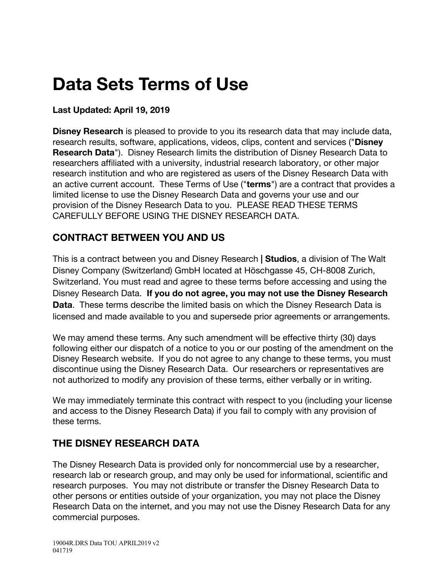# **Data Sets Terms of Use**

# **Last Updated: April 19, 2019**

**Disney Research** is pleased to provide to you its research data that may include data, research results, software, applications, videos, clips, content and services ("**Disney Research Data**"). Disney Research limits the distribution of Disney Research Data to researchers affiliated with a university, industrial research laboratory, or other major research institution and who are registered as users of the Disney Research Data with an active current account. These Terms of Use ("**terms**") are a contract that provides a limited license to use the Disney Research Data and governs your use and our provision of the Disney Research Data to you. PLEASE READ THESE TERMS CAREFULLY BEFORE USING THE DISNEY RESEARCH DATA.

# **CONTRACT BETWEEN YOU AND US**

This is a contract between you and Disney Research **| Studios**, a division of The Walt Disney Company (Switzerland) GmbH located at Höschgasse 45, CH-8008 Zurich, Switzerland. You must read and agree to these terms before accessing and using the Disney Research Data. **If you do not agree, you may not use the Disney Research Data**. These terms describe the limited basis on which the Disney Research Data is licensed and made available to you and supersede prior agreements or arrangements.

We may amend these terms. Any such amendment will be effective thirty (30) days following either our dispatch of a notice to you or our posting of the amendment on the Disney Research website. If you do not agree to any change to these terms, you must discontinue using the Disney Research Data. Our researchers or representatives are not authorized to modify any provision of these terms, either verbally or in writing.

We may immediately terminate this contract with respect to you (including your license and access to the Disney Research Data) if you fail to comply with any provision of these terms.

# **THE DISNEY RESEARCH DATA**

The Disney Research Data is provided only for noncommercial use by a researcher, research lab or research group, and may only be used for informational, scientific and research purposes. You may not distribute or transfer the Disney Research Data to other persons or entities outside of your organization, you may not place the Disney Research Data on the internet, and you may not use the Disney Research Data for any commercial purposes.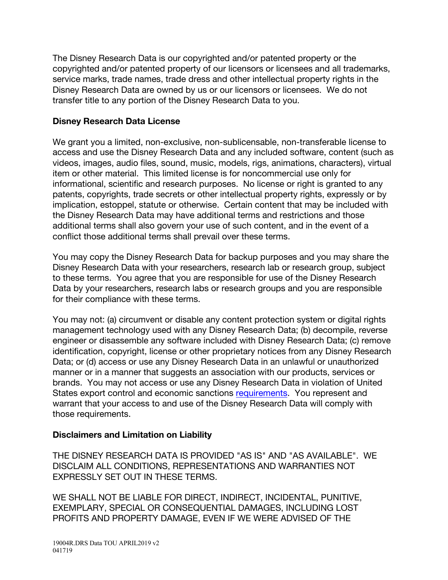The Disney Research Data is our copyrighted and/or patented property or the copyrighted and/or patented property of our licensors or licensees and all trademarks, service marks, trade names, trade dress and other intellectual property rights in the Disney Research Data are owned by us or our licensors or licensees. We do not transfer title to any portion of the Disney Research Data to you.

#### **Disney Research Data License**

We grant you a limited, non-exclusive, non-sublicensable, non-transferable license to access and use the Disney Research Data and any included software, content (such as videos, images, audio files, sound, music, models, rigs, animations, characters), virtual item or other material. This limited license is for noncommercial use only for informational, scientific and research purposes. No license or right is granted to any patents, copyrights, trade secrets or other intellectual property rights, expressly or by implication, estoppel, statute or otherwise. Certain content that may be included with the Disney Research Data may have additional terms and restrictions and those additional terms shall also govern your use of such content, and in the event of a conflict those additional terms shall prevail over these terms.

You may copy the Disney Research Data for backup purposes and you may share the Disney Research Data with your researchers, research lab or research group, subject to these terms. You agree that you are responsible for use of the Disney Research Data by your researchers, research labs or research groups and you are responsible for their compliance with these terms.

You may not: (a) circumvent or disable any content protection system or digital rights management technology used with any Disney Research Data; (b) decompile, reverse engineer or disassemble any software included with Disney Research Data; (c) remove identification, copyright, license or other proprietary notices from any Disney Research Data; or (d) access or use any Disney Research Data in an unlawful or unauthorized manner or in a manner that suggests an association with our products, services or brands. You may not access or use any Disney Research Data in violation of United States export control and economic sanctions requirements. You represent and warrant that your access to and use of the Disney Research Data will comply with those requirements.

# **Disclaimers and Limitation on Liability**

THE DISNEY RESEARCH DATA IS PROVIDED "AS IS" AND "AS AVAILABLE". WE DISCLAIM ALL CONDITIONS, REPRESENTATIONS AND WARRANTIES NOT EXPRESSLY SET OUT IN THESE TERMS.

WE SHALL NOT BE LIABLE FOR DIRECT, INDIRECT, INCIDENTAL, PUNITIVE, EXEMPLARY, SPECIAL OR CONSEQUENTIAL DAMAGES, INCLUDING LOST PROFITS AND PROPERTY DAMAGE, EVEN IF WE WERE ADVISED OF THE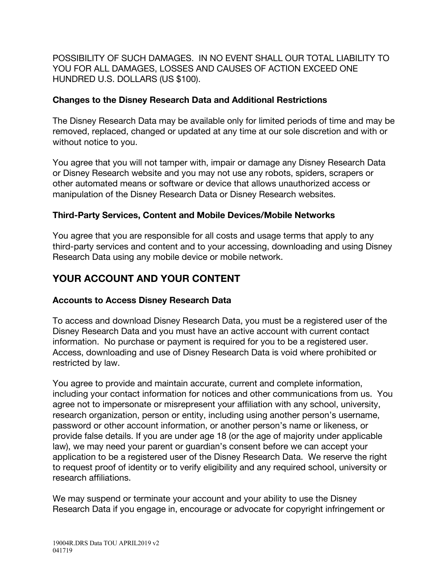POSSIBILITY OF SUCH DAMAGES. IN NO EVENT SHALL OUR TOTAL LIABILITY TO YOU FOR ALL DAMAGES, LOSSES AND CAUSES OF ACTION EXCEED ONE HUNDRED U.S. DOLLARS (US \$100).

## **Changes to the Disney Research Data and Additional Restrictions**

The Disney Research Data may be available only for limited periods of time and may be removed, replaced, changed or updated at any time at our sole discretion and with or without notice to you.

You agree that you will not tamper with, impair or damage any Disney Research Data or Disney Research website and you may not use any robots, spiders, scrapers or other automated means or software or device that allows unauthorized access or manipulation of the Disney Research Data or Disney Research websites.

# **Third-Party Services, Content and Mobile Devices/Mobile Networks**

You agree that you are responsible for all costs and usage terms that apply to any third-party services and content and to your accessing, downloading and using Disney Research Data using any mobile device or mobile network.

# **YOUR ACCOUNT AND YOUR CONTENT**

#### **Accounts to Access Disney Research Data**

To access and download Disney Research Data, you must be a registered user of the Disney Research Data and you must have an active account with current contact information. No purchase or payment is required for you to be a registered user. Access, downloading and use of Disney Research Data is void where prohibited or restricted by law.

You agree to provide and maintain accurate, current and complete information, including your contact information for notices and other communications from us. You agree not to impersonate or misrepresent your affiliation with any school, university, research organization, person or entity, including using another person's username, password or other account information, or another person's name or likeness, or provide false details. If you are under age 18 (or the age of majority under applicable law), we may need your parent or guardian's consent before we can accept your application to be a registered user of the Disney Research Data. We reserve the right to request proof of identity or to verify eligibility and any required school, university or research affiliations.

We may suspend or terminate your account and your ability to use the Disney Research Data if you engage in, encourage or advocate for copyright infringement or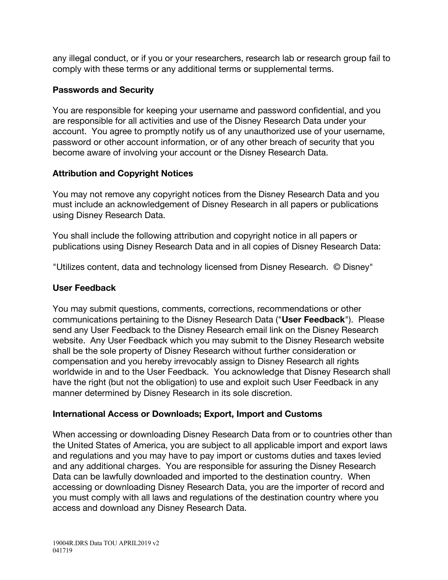any illegal conduct, or if you or your researchers, research lab or research group fail to comply with these terms or any additional terms or supplemental terms.

## **Passwords and Security**

You are responsible for keeping your username and password confidential, and you are responsible for all activities and use of the Disney Research Data under your account. You agree to promptly notify us of any unauthorized use of your username, password or other account information, or of any other breach of security that you become aware of involving your account or the Disney Research Data.

## **Attribution and Copyright Notices**

You may not remove any copyright notices from the Disney Research Data and you must include an acknowledgement of Disney Research in all papers or publications using Disney Research Data.

You shall include the following attribution and copyright notice in all papers or publications using Disney Research Data and in all copies of Disney Research Data:

"Utilizes content, data and technology licensed from Disney Research. © Disney"

## **User Feedback**

You may submit questions, comments, corrections, recommendations or other communications pertaining to the Disney Research Data ("**User Feedback**"). Please send any User Feedback to the Disney Research email link on the Disney Research website. Any User Feedback which you may submit to the Disney Research website shall be the sole property of Disney Research without further consideration or compensation and you hereby irrevocably assign to Disney Research all rights worldwide in and to the User Feedback. You acknowledge that Disney Research shall have the right (but not the obligation) to use and exploit such User Feedback in any manner determined by Disney Research in its sole discretion.

#### **International Access or Downloads; Export, Import and Customs**

When accessing or downloading Disney Research Data from or to countries other than the United States of America, you are subject to all applicable import and export laws and regulations and you may have to pay import or customs duties and taxes levied and any additional charges. You are responsible for assuring the Disney Research Data can be lawfully downloaded and imported to the destination country. When accessing or downloading Disney Research Data, you are the importer of record and you must comply with all laws and regulations of the destination country where you access and download any Disney Research Data.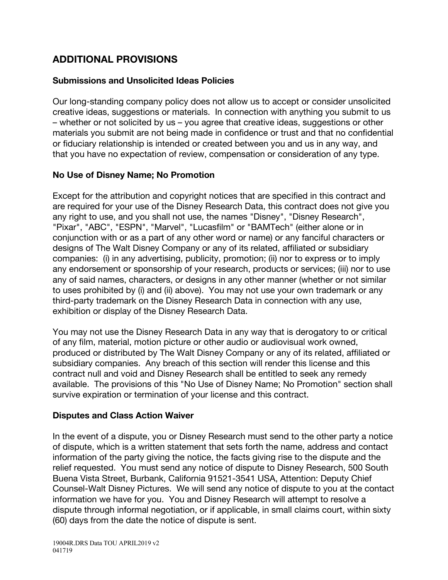# **ADDITIONAL PROVISIONS**

#### **Submissions and Unsolicited Ideas Policies**

Our long-standing company policy does not allow us to accept or consider unsolicited creative ideas, suggestions or materials. In connection with anything you submit to us – whether or not solicited by us – you agree that creative ideas, suggestions or other materials you submit are not being made in confidence or trust and that no confidential or fiduciary relationship is intended or created between you and us in any way, and that you have no expectation of review, compensation or consideration of any type.

#### **No Use of Disney Name; No Promotion**

Except for the attribution and copyright notices that are specified in this contract and are required for your use of the Disney Research Data, this contract does not give you any right to use, and you shall not use, the names "Disney", "Disney Research", "Pixar", "ABC", "ESPN", "Marvel", "Lucasfilm" or "BAMTech" (either alone or in conjunction with or as a part of any other word or name) or any fanciful characters or designs of The Walt Disney Company or any of its related, affiliated or subsidiary companies: (i) in any advertising, publicity, promotion; (ii) nor to express or to imply any endorsement or sponsorship of your research, products or services; (iii) nor to use any of said names, characters, or designs in any other manner (whether or not similar to uses prohibited by (i) and (ii) above). You may not use your own trademark or any third-party trademark on the Disney Research Data in connection with any use, exhibition or display of the Disney Research Data.

You may not use the Disney Research Data in any way that is derogatory to or critical of any film, material, motion picture or other audio or audiovisual work owned, produced or distributed by The Walt Disney Company or any of its related, affiliated or subsidiary companies. Any breach of this section will render this license and this contract null and void and Disney Research shall be entitled to seek any remedy available. The provisions of this "No Use of Disney Name; No Promotion" section shall survive expiration or termination of your license and this contract.

#### **Disputes and Class Action Waiver**

In the event of a dispute, you or Disney Research must send to the other party a notice of dispute, which is a written statement that sets forth the name, address and contact information of the party giving the notice, the facts giving rise to the dispute and the relief requested. You must send any notice of dispute to Disney Research, 500 South Buena Vista Street, Burbank, California 91521-3541 USA, Attention: Deputy Chief Counsel-Walt Disney Pictures. We will send any notice of dispute to you at the contact information we have for you. You and Disney Research will attempt to resolve a dispute through informal negotiation, or if applicable, in small claims court, within sixty (60) days from the date the notice of dispute is sent.